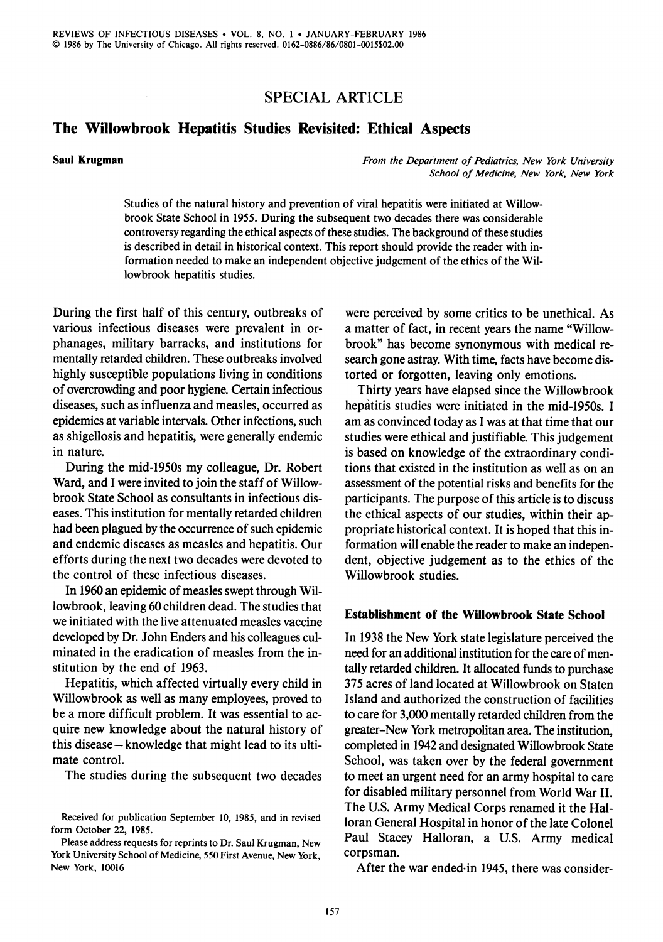# **SPECIAL ARTICLE**

# **The Willowbrook Hepatitis Studies Revisited: Ethical Aspects**

**Saul Krugman From the Department of Pediatrics, New York University**  From the Department of Pediatrics, New York University **School of Medicine, New York, New York** 

> **Studies of the natural history and prevention of viral hepatitis were initiated at Willowbrook State School in 1955. During the subsequent two decades there was considerable controversy regarding the ethical aspects of these studies. The background of these studies is described in detail in historical context. This report should provide the reader with information needed to make an independent objective judgement of the ethics of the Willowbrook hepatitis studies.**

**During the first half of this century, outbreaks of various infectious diseases were prevalent in orphanages, military barracks, and institutions for mentally retarded children. These outbreaks involved highly susceptible populations living in conditions of overcrowding and poor hygiene. Certain infectious diseases, such as influenza and measles, occurred as epidemics at variable intervals. Other infections, such as shigellosis and hepatitis, were generally endemic in nature.** 

**During the mid-1950s my colleague, Dr. Robert Ward, and I were invited to join the staff of Willowbrook State School as consultants in infectious diseases. This institution for mentally retarded children had been plagued by the occurrence of such epidemic and endemic diseases as measles and hepatitis. Our efforts during the next two decades were devoted to the control of these infectious diseases.** 

**In 1960 an epidemic of measles swept through Willowbrook, leaving 60 children dead. The studies that we initiated with the live attenuated measles vaccine developed by Dr. John Enders and his colleagues culminated in the eradication of measles from the institution by the end of 1963.** 

**Hepatitis, which affected virtually every child in Willowbrook as well as many employees, proved to be a more difficult problem. It was essential to acquire new knowledge about the natural history of this disease - knowledge that might lead to its ultimate control.** 

**The studies during the subsequent two decades** 

**were perceived by some critics to be unethical. As a matter of fact, in recent years the name "Willowbrook" has become synonymous with medical research gone astray. With time, facts have become distorted or forgotten, leaving only emotions.** 

**Thirty years have elapsed since the Willowbrook hepatitis studies were initiated in the mid-1950s. I am as convinced today as I was at that time that our studies were ethical and justifiable. This judgement is based on knowledge of the extraordinary conditions that existed in the institution as well as on an assessment of the potential risks and benefits for the participants. The purpose of this article is to discuss the ethical aspects of our studies, within their appropriate historical context. It is hoped that this information will enable the reader to make an independent, objective judgement as to the ethics of the Willowbrook studies.** 

#### **Establishment of the Willowbrook State School**

**In 1938 the New York state legislature perceived the need for an additional institution for the care of mentally retarded children. It allocated funds to purchase 375 acres of land located at Willowbrook on Staten Island and authorized the construction of facilities to care for 3,000 mentally retarded children from the greater-New York metropolitan area. The institution, completed in 1942 and designated Willowbrook State School, was taken over by the federal government to meet an urgent need for an army hospital to care for disabled military personnel from World War II. The U.S. Army Medical Corps renamed it the Halloran General Hospital in honor of the late Colonel Paul Stacey Halloran, a U.S. Army medical corpsman.** 

**After the war ended-in 1945, there was consider-**

**Received for publication September 10, 1985, and in revised form October 22, 1985.** 

**Please address requests for reprints to Dr. Saul Krugman, New York University School of Medicine, 550 First Avenue, New York, New York, 10016**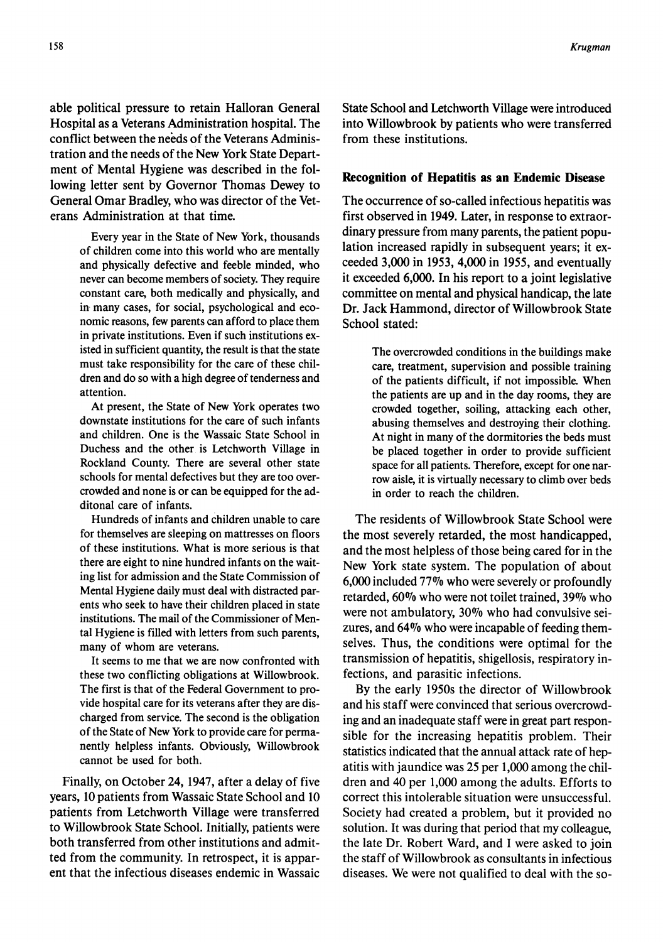**able political pressure to retain Halloran General Hospital as a Veterans Administration hospital. The conflict between the needs of the Veterans Administration and the needs of the New York State Department of Mental Hygiene was described in the following letter sent by Governor Thomas Dewey to General Omar Bradley, who was director of the Veterans Administration at that time.** 

> **Every year in the State of New York, thousands of children come into this world who are mentally and physically defective and feeble minded, who never can become members of society. They require constant care, both medically and physically, and in many cases, for social, psychological and economic reasons, few parents can afford to place them in private institutions. Even if such institutions existed in sufficient quantity, the result is that the state must take responsibility for the care of these children and do so with a high degree of tenderness and attention.**

> **At present, the State of New York operates two downstate institutions for the care of such infants and children. One is the Wassaic State School in Duchess and the other is Letchworth Village in Rockland County. There are several other state schools for mental defectives but they are too overcrowded and none is or can be equipped for the additonal care of infants.**

> **Hundreds of infants and children unable to care for themselves are sleeping on mattresses on floors of these institutions. What is more serious is that there are eight to nine hundred infants on the waiting list for admission and the State Commission of Mental Hygiene daily must deal with distracted parents who seek to have their children placed in state institutions. The mail of the Commissioner of Mental Hygiene is filled with letters from such parents, many of whom are veterans.**

> **It seems to me that we are now confronted with these two conflicting obligations at Willowbrook. The first is that of the Federal Government to provide hospital care for its veterans after they are discharged from service. The second is the obligation of the State of New York to provide care for permanently helpless infants. Obviously, Willowbrook cannot be used for both.**

**Finally, on October 24, 1947, after a delay of five years, 10 patients from Wassaic State School and 10 patients from Letchworth Village were transferred to Willowbrook State School. Initially, patients were both transferred from other institutions and admitted from the community. In retrospect, it is apparent that the infectious diseases endemic in Wassaic**  **State School and Letchworth Village were introduced into Willowbrook by patients who were transferred from these institutions.** 

#### **Recognition of Hepatitis as an Endemic Disease**

**The occurrence of so-called infectious hepatitis was first observed in 1949. Later, in response to extraordinary pressure from many parents, the patient population increased rapidly in subsequent years; it exceeded 3,000 in 1953, 4,000 in 1955, and eventually it exceeded 6,000. In his report to a joint legislative committee on mental and physical handicap, the late Dr. Jack Hammond, director of Willowbrook State School stated:** 

> **The overcrowded conditions in the buildings make care, treatment, supervision and possible training of the patients difficult, if not impossible. When the patients are up and in the day rooms, they are crowded together, soiling, attacking each other, abusing themselves and destroying their clothing. At night in many of the dormitories the beds must be placed together in order to provide sufficient space for all patients. Therefore, except for one narrow aisle, it is virtually necessary to climb over beds in order to reach the children.**

**The residents of Willowbrook State School were the most severely retarded, the most handicapped, and the most helpless of those being cared for in the New York state system. The population of about**  6,000 included 77% who were severely or profoundly **retarded, 60% who were not toilet trained, 39% who were not ambulatory, 30% who had convulsive seizures, and 64% who were incapable of feeding themselves. Thus, the conditions were optimal for the transmission of hepatitis, shigellosis, respiratory infections, and parasitic infections.** 

**By the early 1950s the director of Willowbrook and his staff were convinced that serious overcrowding and an inadequate staff were in great part responsible for the increasing hepatitis problem. Their statistics indicated that the annual attack rate of hepatitis with jaundice was 25 per 1,000 among the children and 40 per 1,000 among the adults. Efforts to correct this intolerable situation were unsuccessful. Society had created a problem, but it provided no solution. It was during that period that my colleague, the late Dr. Robert Ward, and I were asked to join the staff of Willowbrook as consultants in infectious diseases. We were not qualified to deal with the so-**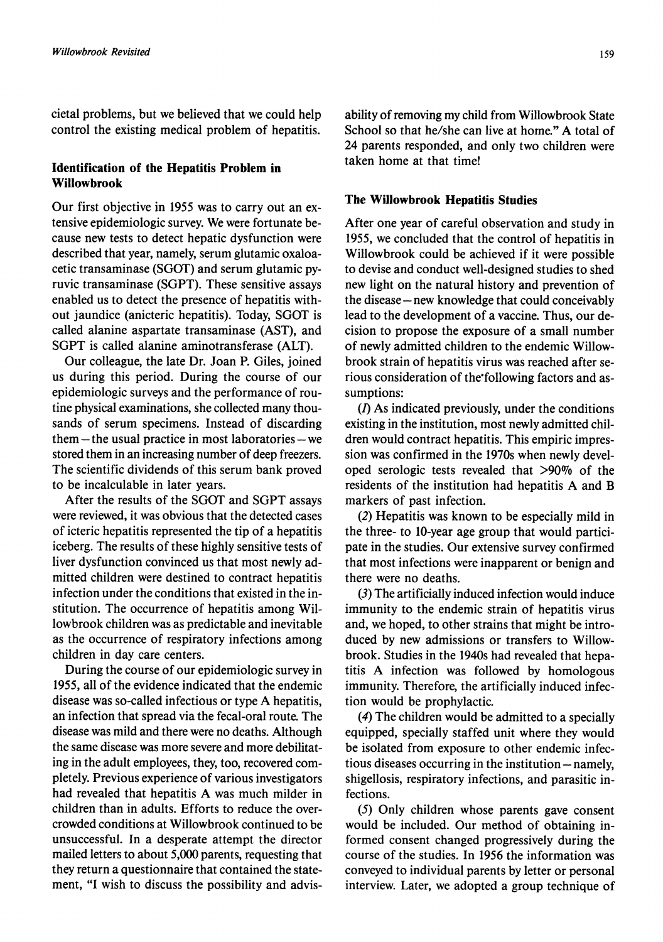**cietal problems, but we believed that we could help control the existing medical problem of hepatitis.** 

#### **Identification of the Hepatitis Problem in Willowbrook**

**Our first objective in 1955 was to carry out an extensive epidemiologic survey. We were fortunate because new tests to detect hepatic dysfunction were described that year, namely, serum glutamic oxaloacetic transaminase (SGOT) and serum glutamic pyruvic transaminase (SGPT). These sensitive assays enabled us to detect the presence of hepatitis without jaundice (anicteric hepatitis). Today, SGOT is called alanine aspartate transaminase (AST), and SGPT is called alanine aminotransferase (ALT).** 

**Our colleague, the late Dr. Joan P. Giles, joined us during this period. During the course of our epidemiologic surveys and the performance of routine physical examinations, she collected many thousands of serum specimens. Instead of discarding them - the usual practice in most laboratories - we stored them in an increasing number of deep freezers. The scientific dividends of this serum bank proved to be incalculable in later years.** 

**After the results of the SGOT and SGPT assays were reviewed, it was obvious that the detected cases of icteric hepatitis represented the tip of a hepatitis iceberg. The results of these highly sensitive tests of liver dysfunction convinced us that most newly admitted children were destined to contract hepatitis infection under the conditions that existed in the institution. The occurrence of hepatitis among Willowbrook children was as predictable and inevitable as the occurrence of respiratory infections among children in day care centers.** 

**During the course of our epidemiologic survey in 1955, all of the evidence indicated that the endemic disease was so-called infectious or type A hepatitis, an infection that spread via the fecal-oral route. The disease was mild and there were no deaths. Although the same disease was more severe and more debilitating in the adult employees, they, too, recovered completely. Previous experience of various investigators had revealed that hepatitis A was much milder in children than in adults. Efforts to reduce the overcrowded conditions at Willowbrook continued to be unsuccessful. In a desperate attempt the director mailed letters to about 5,000 parents, requesting that they return a questionnaire that contained the statement, "I wish to discuss the possibility and advis-** **ability of removing my child from Willowbrook State School so that he/she can live at home." A total of 24 parents responded, and only two children were taken home at that time!** 

## **The Willowbrook Hepatitis Studies**

**After one year of careful observation and study in 1955, we concluded that the control of hepatitis in Willowbrook could be achieved if it were possible to devise and conduct well-designed studies to shed new light on the natural history and prevention of the disease - new knowledge that could conceivably lead to the development of a vaccine. Thus, our decision to propose the exposure of a small number of newly admitted children to the endemic Willowbrook strain of hepatitis virus was reached after serious consideration of the'following factors and assumptions:** 

**(I) As indicated previously, under the conditions existing in the institution, most newly admitted children would contract hepatitis. This empiric impression was confirmed in the 1970s when newly developed serologic tests revealed that >907o of the residents of the institution had hepatitis A and B markers of past infection.** 

**(2) Hepatitis was known to be especially mild in the three- to 10-year age group that would participate in the studies. Our extensive survey confirmed that most infections were inapparent or benign and there were no deaths.** 

**(3) The artificially induced infection would induce immunity to the endemic strain of hepatitis virus and, we hoped, to other strains that might be introduced by new admissions or transfers to Willowbrook. Studies in the 1940s had revealed that hepatitis A infection was followed by homologous immunity. Therefore, the artificially induced infection would be prophylactic.** 

**(4) The children would be admitted to a specially equipped, specially staffed unit where they would be isolated from exposure to other endemic infectious diseases occurring in the institution- namely, shigellosis, respiratory infections, and parasitic infections.** 

**(5) Only children whose parents gave consent would be included. Our method of obtaining informed consent changed progressively during the course of the studies. In 1956 the information was conveyed to individual parents by letter or personal interview. Later, we adopted a group technique of**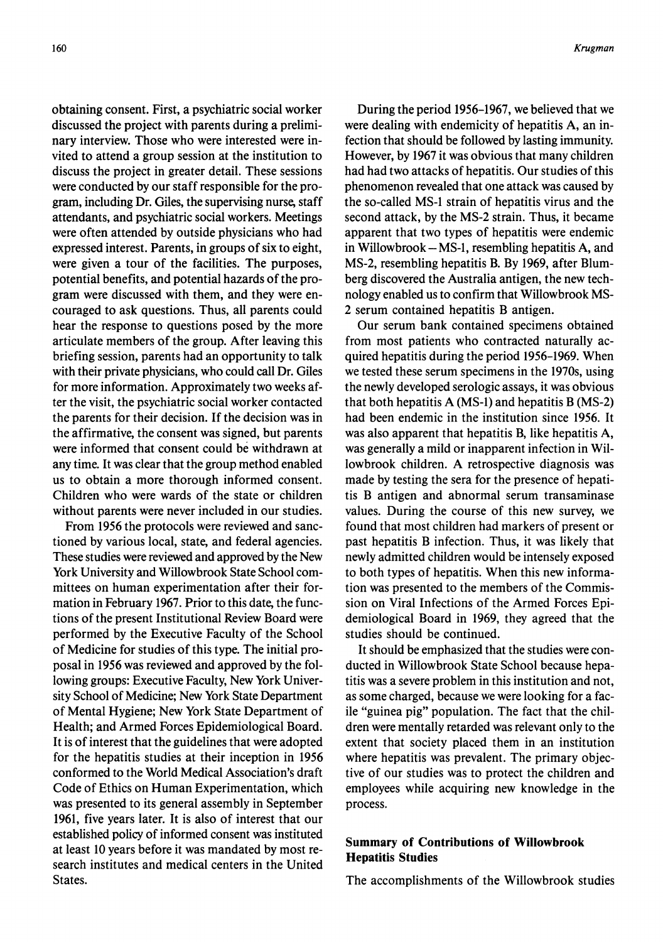**obtaining consent. First, a psychiatric social worker discussed the project with parents during a preliminary interview. Those who were interested were invited to attend a group session at the institution to discuss the project in greater detail. These sessions were conducted by our staff responsible for the program, including Dr. Giles, the supervising nurse, staff attendants, and psychiatric social workers. Meetings were often attended by outside physicians who had expressed interest. Parents, in groups of six to eight, were given a tour of the facilities. The purposes, potential benefits, and potential hazards of the program were discussed with them, and they were encouraged to ask questions. Thus, all parents could hear the response to questions posed by the more articulate members of the group. After leaving this briefing session, parents had an opportunity to talk with their private physicians, who could call Dr. Giles for more information. Approximately two weeks after the visit, the psychiatric social worker contacted the parents for their decision. If the decision was in the affirmative, the consent was signed, but parents were informed that consent could be withdrawn at any time. It was clear that the group method enabled us to obtain a more thorough informed consent. Children who were wards of the state or children without parents were never included in our studies.** 

**From 1956 the protocols were reviewed and sanctioned by various local, state, and federal agencies. These studies were reviewed and approved by the New York University and Willowbrook State School committees on human experimentation after their formation in February 1967. Prior to this date, the functions of the present Institutional Review Board were performed by the Executive Faculty of the School of Medicine for studies of this type. The initial proposal in 1956 was reviewed and approved by the following groups: Executive Faculty, New York University School of Medicine; New York State Department of Mental Hygiene; New York State Department of Health; and Armed Forces Epidemiological Board. It is of interest that the guidelines that were adopted for the hepatitis studies at their inception in 1956 conformed to the World Medical Association's draft Code of Ethics on Human Experimentation, which was presented to its general assembly in September 1961, five years later. It is also of interest that our established policy of informed consent was instituted at least 10 years before it was mandated by most research institutes and medical centers in the United States.** 

**During the period 1956-1967, we believed that we were dealing with endemicity of hepatitis A, an infection that should be followed by lasting immunity. However, by 1967 it was obvious that many children had had two attacks of hepatitis. Our studies of this phenomenon revealed that one attack was caused by the so-called MS-1 strain of hepatitis virus and the second attack, by the MS-2 strain. Thus, it became apparent that two types of hepatitis were endemic in Willowbrook-MS-1, resembling hepatitis A, and MS-2, resembling hepatitis B. By 1969, after Blumberg discovered the Australia antigen, the new technology enabled us to confirm that Willowbrook MS-2 serum contained hepatitis B antigen.** 

**Our serum bank contained specimens obtained from most patients who contracted naturally acquired hepatitis during the period 1956-1969. When we tested these serum specimens in the 1970s, using the newly developed serologic assays, it was obvious that both hepatitis A (MS-1) and hepatitis B (MS-2) had been endemic in the institution since 1956. It was also apparent that hepatitis B, like hepatitis A, was generally a mild or inapparent infection in Willowbrook children. A retrospective diagnosis was made by testing the sera for the presence of hepatitis B antigen and abnormal serum transaminase values. During the course of this new survey, we found that most children had markers of present or past hepatitis B infection. Thus, it was likely that newly admitted children would be intensely exposed to both types of hepatitis. When this new information was presented to the members of the Commission on Viral Infections of the Armed Forces Epidemiological Board in 1969, they agreed that the studies should be continued.** 

**It should be emphasized that the studies were conducted in Willowbrook State School because hepatitis was a severe problem in this institution and not, as some charged, because we were looking for a facile "guinea pig" population. The fact that the children were mentally retarded was relevant only to the extent that society placed them in an institution where hepatitis was prevalent. The primary objective of our studies was to protect the children and employees while acquiring new knowledge in the process.** 

## **Summary of Contributions of Willowbrook Hepatitis Studies**

**The accomplishments of the Willowbrook studies**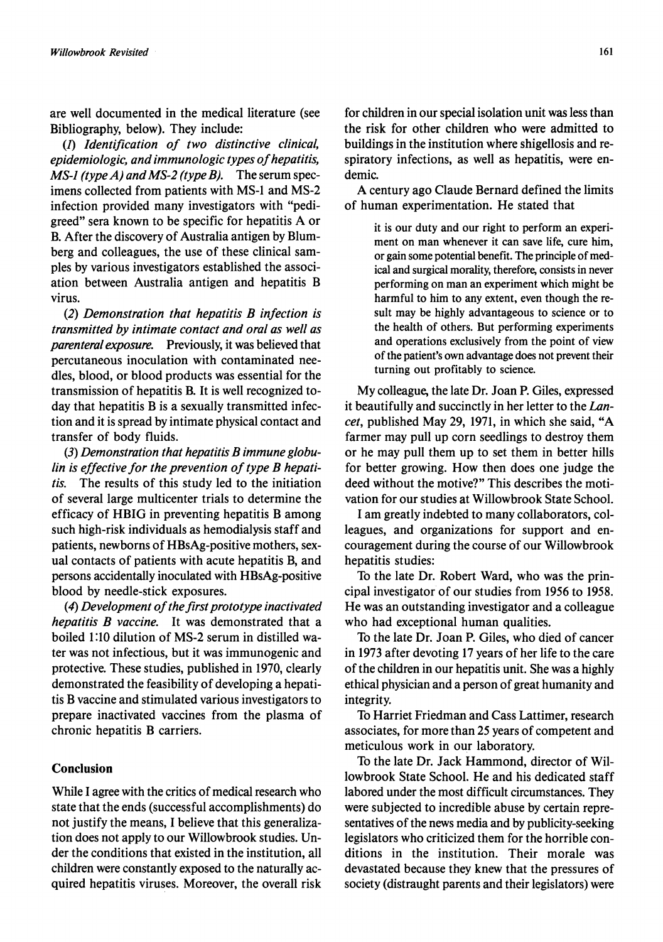**are well documented in the medical literature (see Bibliography, below). They include:** 

**(1) Identification of two distinctive clinical, epidemiologic, and immunologic types of hepatitis, MS-1 (type A) and MS-2 (typeB). The serum specimens collected from patients with MS-1 and MS-2 infection provided many investigators with "pedigreed" sera known to be specific for hepatitis A or B. After the discovery of Australia antigen by Blumberg and colleagues, the use of these clinical samples by various investigators established the association between Australia antigen and hepatitis B virus.** 

**(2) Demonstration that hepatitis B infection is transmitted by intimate contact and oral as well as parenteral exposure. Previously, it was believed that percutaneous inoculation with contaminated needles, blood, or blood products was essential for the transmission of hepatitis B. It is well recognized today that hepatitis B is a sexually transmitted infection and it is spread by intimate physical contact and transfer of body fluids.** 

**(3) Demonstration that hepatitis B immune globulin is effective for the prevention of type B hepatitis. The results of this study led to the initiation of several large multicenter trials to determine the efficacy of HBIG in preventing hepatitis B among such high-risk individuals as hemodialysis staff and patients, newborns of HBsAg-positive mothers, sexual contacts of patients with acute hepatitis B, and persons accidentally inoculated with HBsAg-positive blood by needle-stick exposures.** 

**(4) Development of the first prototype inactivated hepatitis B vaccine. It was demonstrated that a boiled 1:10 dilution of MS-2 serum in distilled water was not infectious, but it was immunogenic and protective. These studies, published in 1970, clearly demonstrated the feasibility of developing a hepatitis B vaccine and stimulated various investigators to prepare inactivated vaccines from the plasma of chronic hepatitis B carriers.** 

#### **Conclusion**

**While I agree with the critics of medical research who state that the ends (successful accomplishments) do not justify the means, I believe that this generalization does not apply to our Willowbrook studies. Under the conditions that existed in the institution, all children were constantly exposed to the naturally acquired hepatitis viruses. Moreover, the overall risk**  **for children in our special isolation unit was less than the risk for other children who were admitted to buildings in the institution where shigellosis and respiratory infections, as well as hepatitis, were endemic.** 

**A century ago Claude Bernard defined the limits of human experimentation. He stated that** 

**it is our duty and our right to perform an experiment on man whenever it can save life, cure him, or gain some potential benefit. The principle of medical and surgical morality, therefore, consists in never performing on man an experiment which might be harmful to him to any extent, even though the result may be highly advantageous to science or to the health of others. But performing experiments and operations exclusively from the point of view of the patient's own advantage does not prevent their turning out profitably to science.** 

**My colleague, the late Dr. Joan P. Giles, expressed it beautifully and succinctly in her letter to the Lancet, published May 29, 1971, in which she said, "A farmer may pull up corn seedlings to destroy them or he may pull them up to set them in better hills for better growing. How then does one judge the deed without the motive?" This describes the motivation for our studies at Willowbrook State School.** 

**I am greatly indebted to many collaborators, colleagues, and organizations for support and encouragement during the course of our Willowbrook hepatitis studies:** 

**To the late Dr. Robert Ward, who was the principal investigator of our studies from 1956 to 1958. He was an outstanding investigator and a colleague who had exceptional human qualities.** 

**To the late Dr. Joan P. Giles, who died of cancer in 1973 after devoting 17 years of her life to the care of the children in our hepatitis unit. She was a highly ethical physician and a person of great humanity and integrity.** 

**To Harriet Friedman and Cass Lattimer, research associates, for more than 25 years of competent and meticulous work in our laboratory.** 

**To the late Dr. Jack Hammond, director of Willowbrook State School. He and his dedicated staff labored under the most difficult circumstances. They were subjected to incredible abuse by certain representatives of the news media and by publicity-seeking legislators who criticized them for the horrible conditions in the institution. Their morale was devastated because they knew that the pressures of society (distraught parents and their legislators) were**